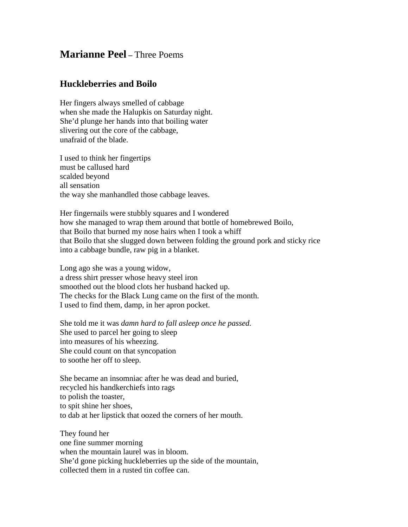## **Marianne Peel –** Three Poems

## **Huckleberries and Boilo**

Her fingers always smelled of cabbage when she made the Halupkis on Saturday night. She'd plunge her hands into that boiling water slivering out the core of the cabbage, unafraid of the blade.

I used to think her fingertips must be callused hard scalded beyond all sensation the way she manhandled those cabbage leaves.

Her fingernails were stubbly squares and I wondered how she managed to wrap them around that bottle of homebrewed Boilo, that Boilo that burned my nose hairs when I took a whiff that Boilo that she slugged down between folding the ground pork and sticky rice into a cabbage bundle, raw pig in a blanket.

Long ago she was a young widow, a dress shirt presser whose heavy steel iron smoothed out the blood clots her husband hacked up. The checks for the Black Lung came on the first of the month. I used to find them, damp, in her apron pocket.

She told me it was *damn hard to fall asleep once he passed.* She used to parcel her going to sleep into measures of his wheezing. She could count on that syncopation to soothe her off to sleep.

She became an insomniac after he was dead and buried, recycled his handkerchiefs into rags to polish the toaster, to spit shine her shoes, to dab at her lipstick that oozed the corners of her mouth.

They found her one fine summer morning when the mountain laurel was in bloom. She'd gone picking huckleberries up the side of the mountain, collected them in a rusted tin coffee can.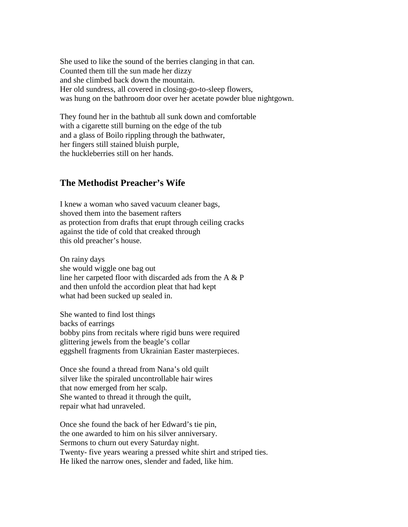She used to like the sound of the berries clanging in that can. Counted them till the sun made her dizzy and she climbed back down the mountain. Her old sundress, all covered in closing-go-to-sleep flowers, was hung on the bathroom door over her acetate powder blue nightgown.

They found her in the bathtub all sunk down and comfortable with a cigarette still burning on the edge of the tub and a glass of Boilo rippling through the bathwater, her fingers still stained bluish purple, the huckleberries still on her hands.

## **The Methodist Preacher's Wife**

I knew a woman who saved vacuum cleaner bags, shoved them into the basement rafters as protection from drafts that erupt through ceiling cracks against the tide of cold that creaked through this old preacher's house.

On rainy days she would wiggle one bag out line her carpeted floor with discarded ads from the A & P and then unfold the accordion pleat that had kept what had been sucked up sealed in.

She wanted to find lost things backs of earrings bobby pins from recitals where rigid buns were required glittering jewels from the beagle's collar eggshell fragments from Ukrainian Easter masterpieces.

Once she found a thread from Nana's old quilt silver like the spiraled uncontrollable hair wires that now emerged from her scalp. She wanted to thread it through the quilt, repair what had unraveled.

Once she found the back of her Edward's tie pin, the one awarded to him on his silver anniversary. Sermons to churn out every Saturday night. Twenty- five years wearing a pressed white shirt and striped ties. He liked the narrow ones, slender and faded, like him.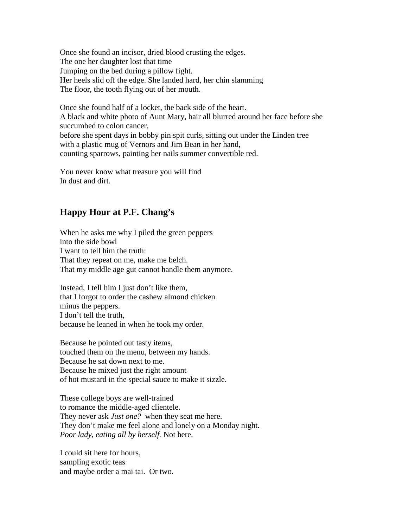Once she found an incisor, dried blood crusting the edges. The one her daughter lost that time Jumping on the bed during a pillow fight. Her heels slid off the edge. She landed hard, her chin slamming The floor, the tooth flying out of her mouth.

Once she found half of a locket, the back side of the heart. A black and white photo of Aunt Mary, hair all blurred around her face before she succumbed to colon cancer, before she spent days in bobby pin spit curls, sitting out under the Linden tree with a plastic mug of Vernors and Jim Bean in her hand, counting sparrows, painting her nails summer convertible red.

You never know what treasure you will find In dust and dirt.

## **Happy Hour at P.F. Chang's**

When he asks me why I piled the green peppers into the side bowl I want to tell him the truth: That they repeat on me, make me belch. That my middle age gut cannot handle them anymore.

Instead, I tell him I just don't like them, that I forgot to order the cashew almond chicken minus the peppers. I don't tell the truth, because he leaned in when he took my order.

Because he pointed out tasty items, touched them on the menu, between my hands. Because he sat down next to me. Because he mixed just the right amount of hot mustard in the special sauce to make it sizzle.

These college boys are well-trained to romance the middle-aged clientele. They never ask *Just one?* when they seat me here. They don't make me feel alone and lonely on a Monday night. *Poor lady, eating all by herself.* Not here.

I could sit here for hours, sampling exotic teas and maybe order a mai tai. Or two.